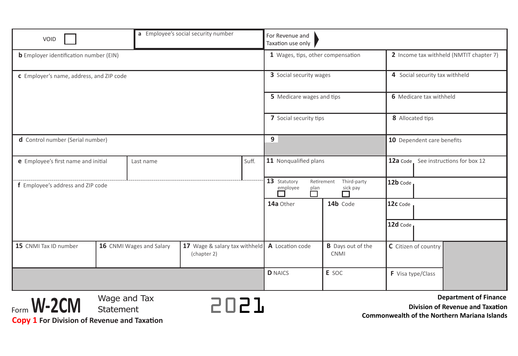| a Employee's social security number<br>VOID               |                           |                                              | For Revenue and<br>Taxation use only |                                                                                |                                         |                                                                  |  |
|-----------------------------------------------------------|---------------------------|----------------------------------------------|--------------------------------------|--------------------------------------------------------------------------------|-----------------------------------------|------------------------------------------------------------------|--|
| <b>b</b> Employer identification number (EIN)             |                           |                                              |                                      | 1 Wages, tips, other compensation                                              |                                         | 2 Income tax withheld (NMTIT chapter 7)                          |  |
| <b>c</b> Employer's name, address, and ZIP code           |                           |                                              |                                      | 3 Social security wages                                                        |                                         | 4 Social security tax withheld                                   |  |
|                                                           |                           |                                              |                                      | 5 Medicare wages and tips                                                      |                                         | 6 Medicare tax withheld                                          |  |
|                                                           |                           |                                              |                                      | 7 Social security tips                                                         |                                         | 8 Allocated tips                                                 |  |
| d Control number (Serial number)                          |                           |                                              |                                      | 9                                                                              |                                         | 10 Dependent care benefits                                       |  |
| Suff.<br>e Employee's first name and initial<br>Last name |                           |                                              |                                      | 11 Nonqualified plans                                                          |                                         | 12a Code See instructions for box 12                             |  |
| f Employee's address and ZIP code                         |                           |                                              |                                      | 13 Statutory<br>Retirement<br>Third-party<br>employee<br>sick pay<br>plan<br>П |                                         | 12b Code                                                         |  |
|                                                           |                           |                                              |                                      | 14a Other                                                                      | 14b Code                                | 12c Code                                                         |  |
|                                                           |                           |                                              |                                      |                                                                                |                                         | 12d Code                                                         |  |
| 15 CNMI Tax ID number                                     | 16 CNMI Wages and Salary  | 17 Wage & salary tax withheld<br>(chapter 2) |                                      | A Location code                                                                | <b>B</b> Days out of the<br><b>CNMI</b> | C Citizen of country                                             |  |
|                                                           |                           |                                              |                                      | <b>D</b> NAICS                                                                 | E SOC                                   | F Visa type/Class                                                |  |
| Form <b>W-2CM</b>                                         | Wage and Tax<br>Statement |                                              | 5057                                 |                                                                                |                                         | <b>Department of Finance</b><br>Division of Revenue and Taxation |  |

**Commonwealth of the Northern Mariana Islands**

**Copy 1 For Division of Revenue and Taxation**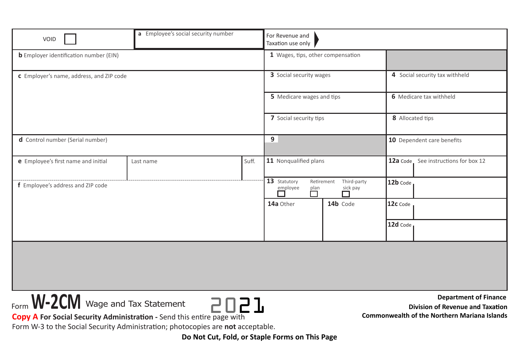| VOID                                                                                                               | a Employee's social security number                                         | For Revenue and<br>Taxation use only |                                |          |                                                                                                                                |  |
|--------------------------------------------------------------------------------------------------------------------|-----------------------------------------------------------------------------|--------------------------------------|--------------------------------|----------|--------------------------------------------------------------------------------------------------------------------------------|--|
| <b>b</b> Employer identification number (EIN)                                                                      | 1 Wages, tips, other compensation                                           |                                      |                                |          |                                                                                                                                |  |
| c Employer's name, address, and ZIP code                                                                           | 3 Social security wages                                                     |                                      | 4 Social security tax withheld |          |                                                                                                                                |  |
|                                                                                                                    |                                                                             |                                      | 5 Medicare wages and tips      |          | 6 Medicare tax withheld                                                                                                        |  |
|                                                                                                                    | 7 Social security tips                                                      |                                      | 8 Allocated tips               |          |                                                                                                                                |  |
| d Control number (Serial number)                                                                                   | 9                                                                           |                                      | 10 Dependent care benefits     |          |                                                                                                                                |  |
| e Employee's first name and initial                                                                                | Last name                                                                   | Suff.                                | 11 Nonqualified plans          |          | 12a Code See instructions for box 12                                                                                           |  |
| f Employee's address and ZIP code                                                                                  | 13 Statutory<br>Retirement<br>Third-party<br>employee<br>$\Box$<br>sick pay |                                      | 12b Code                       |          |                                                                                                                                |  |
|                                                                                                                    |                                                                             |                                      | 14a Other                      | 14b Code | 12c Code                                                                                                                       |  |
|                                                                                                                    |                                                                             |                                      |                                |          | 12d Code                                                                                                                       |  |
|                                                                                                                    |                                                                             |                                      |                                |          |                                                                                                                                |  |
|                                                                                                                    |                                                                             |                                      |                                |          |                                                                                                                                |  |
|                                                                                                                    |                                                                             |                                      |                                |          |                                                                                                                                |  |
| Form <b>W-2CM</b> Wage and Tax Statement<br>Copy A For Social Security Administration - Send this entire page with | 5057                                                                        |                                      |                                |          | <b>Department of Finance</b><br><b>Division of Revenue and Taxation</b><br><b>Commonwealth of the Northern Mariana Islands</b> |  |

Form W-3 to the Social Security Administration; photocopies are **not** acceptable.

**Do Not Cut, Fold, or Staple Forms on This Page**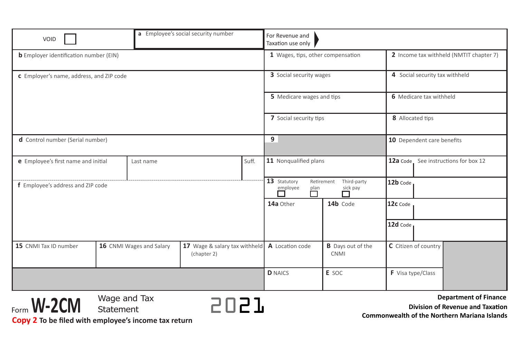| a Employee's social security number<br>VOID               |                           | For Revenue and<br>Taxation use only         |                                                                             |                                         |                                                                         |
|-----------------------------------------------------------|---------------------------|----------------------------------------------|-----------------------------------------------------------------------------|-----------------------------------------|-------------------------------------------------------------------------|
| <b>b</b> Employer identification number (EIN)             |                           | 1 Wages, tips, other compensation            |                                                                             | 2 Income tax withheld (NMTIT chapter 7) |                                                                         |
| C Employer's name, address, and ZIP code                  |                           | 3 Social security wages                      |                                                                             | 4 Social security tax withheld          |                                                                         |
|                                                           |                           |                                              | 5 Medicare wages and tips                                                   |                                         | 6 Medicare tax withheld                                                 |
|                                                           |                           |                                              | 7 Social security tips                                                      |                                         | 8 Allocated tips                                                        |
| d Control number (Serial number)                          |                           | 9                                            |                                                                             | 10 Dependent care benefits              |                                                                         |
| Suff.<br>e Employee's first name and initial<br>Last name |                           |                                              | 11 Nonqualified plans                                                       |                                         | 12a Code See instructions for box 12                                    |
| f Employee's address and ZIP code                         |                           |                                              | 13 Statutory<br>Retirement<br>Third-party<br>employee<br>sick pay<br>$\Box$ |                                         | 12b Code                                                                |
|                                                           |                           |                                              | 14a Other                                                                   | 14b Code                                | 12c Code                                                                |
|                                                           |                           |                                              |                                                                             |                                         | 12d Code                                                                |
| 15 CNMI Tax ID number                                     | 16 CNMI Wages and Salary  | 17 Wage & salary tax withheld<br>(chapter 2) | A Location code                                                             | <b>B</b> Days out of the<br><b>CNMI</b> | C Citizen of country                                                    |
|                                                           |                           |                                              | <b>D</b> NAICS                                                              | E SOC                                   | F Visa type/Class                                                       |
| Form <b>W-2CM</b>                                         | Wage and Tax<br>Statement |                                              |                                                                             |                                         | <b>Department of Finance</b><br><b>Division of Revenue and Taxation</b> |

**Commonwealth of the Northern Mariana Islands**

**Copy 2 To be filed with employee's income tax return**

Form**W-2CM**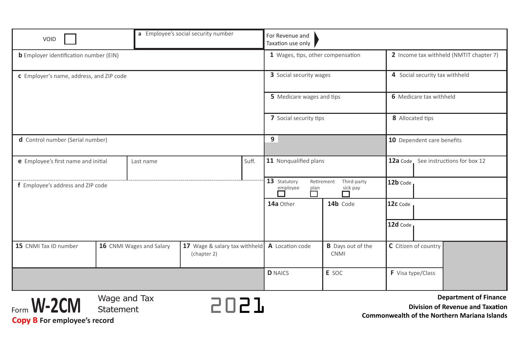| a Employee's social security number<br>VOID               |                           |                                                                           | For Revenue and<br>Taxation use only |                                         |                                                                  |  |
|-----------------------------------------------------------|---------------------------|---------------------------------------------------------------------------|--------------------------------------|-----------------------------------------|------------------------------------------------------------------|--|
| <b>b</b> Employer identification number (EIN)             |                           | 1 Wages, tips, other compensation                                         |                                      | 2 Income tax withheld (NMTIT chapter 7) |                                                                  |  |
| <b>c</b> Employer's name, address, and ZIP code           |                           | 3 Social security wages                                                   |                                      | 4 Social security tax withheld          |                                                                  |  |
|                                                           |                           |                                                                           | 5 Medicare wages and tips            |                                         | 6 Medicare tax withheld                                          |  |
|                                                           |                           |                                                                           | 7 Social security tips               |                                         | 8 Allocated tips                                                 |  |
| d Control number (Serial number)                          |                           | 9                                                                         |                                      | 10 Dependent care benefits              |                                                                  |  |
| e Employee's first name and initial<br>Suff.<br>Last name |                           |                                                                           | 11 Nonqualified plans                |                                         | 12a Code See instructions for box 12                             |  |
| f Employee's address and ZIP code                         |                           | 13 Statutory<br>Retirement<br>Third-party<br>employee<br>sick pay<br>plan |                                      | 12b Code                                |                                                                  |  |
|                                                           |                           |                                                                           | 14a Other                            | 14b Code                                | 12c Code                                                         |  |
|                                                           |                           |                                                                           |                                      |                                         | 12d Code                                                         |  |
| 15 CNMI Tax ID number                                     | 16 CNMI Wages and Salary  | 17 Wage & salary tax withheld<br>(chapter 2)                              | A Location code                      | <b>B</b> Days out of the<br><b>CNMI</b> | C Citizen of country                                             |  |
|                                                           |                           |                                                                           | <b>D</b> NAICS                       | E SOC                                   | F Visa type/Class                                                |  |
| Form <b>W-2CM</b>                                         | Wage and Tax<br>Statement | 5057                                                                      |                                      |                                         | <b>Department of Finance</b><br>Division of Revenue and Taxation |  |

**Commonwealth of the Northern Mariana Islands**

**Copy B For employee's record**